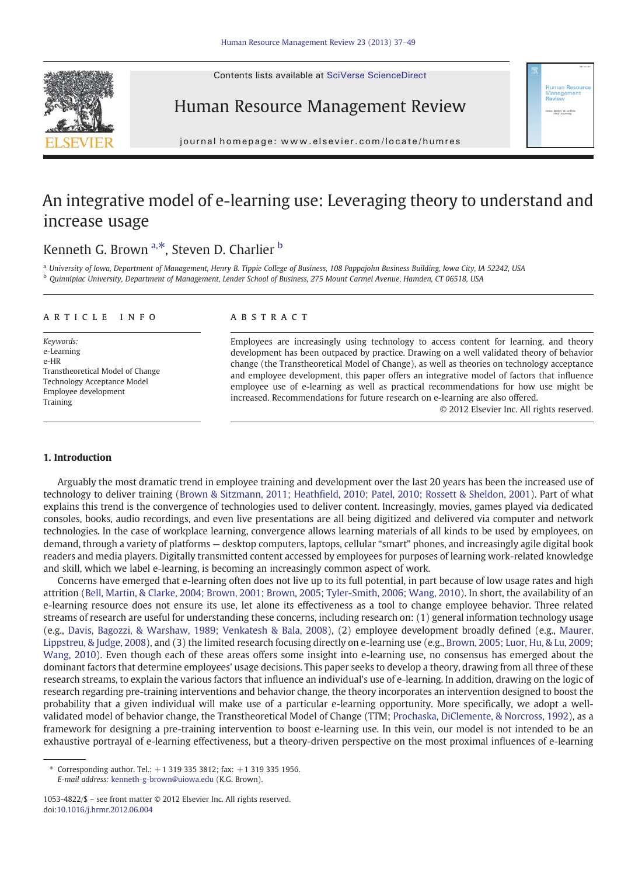Contents lists available at SciVerse ScienceDirect





journal homepage: www.elsevier.com/locate/humres

## An integrative model of e-learning use: Leveraging theory to understand and increase usage

### Kenneth G. Brown  $a, *$ , Steven D. Charlier  $b$

<sup>a</sup> University of Iowa, Department of Management, Henry B. Tippie College of Business, 108 Pappajohn Business Building, Iowa City, IA 52242, USA b Ouinnipiac University, Department of Management, Lender School of Business, 275 Mount Carmel Avenue, Hamden, CT 06518, USA

#### article info abstract

Keywords: e-Learning e-HR Transtheoretical Model of Change Technology Acceptance Model Employee development Training

Employees are increasingly using technology to access content for learning, and theory development has been outpaced by practice. Drawing on a well validated theory of behavior change (the Transtheoretical Model of Change), as well as theories on technology acceptance and employee development, this paper offers an integrative model of factors that influence employee use of e-learning as well as practical recommendations for how use might be increased. Recommendations for future research on e-learning are also offered.

© 2012 Elsevier Inc. All rights reserved.

or: Bodger W. Grift

#### 1. Introduction

Arguably the most dramatic trend in employee training and development over the last 20 years has been the increased use of technology to deliver training [\(Brown & Sitzmann, 2011; Heathfield, 2010; Patel, 2010; Rossett & Sheldon, 2001\)](#page--1-0). Part of what explains this trend is the convergence of technologies used to deliver content. Increasingly, movies, games played via dedicated consoles, books, audio recordings, and even live presentations are all being digitized and delivered via computer and network technologies. In the case of workplace learning, convergence allows learning materials of all kinds to be used by employees, on demand, through a variety of platforms — desktop computers, laptops, cellular "smart" phones, and increasingly agile digital book readers and media players. Digitally transmitted content accessed by employees for purposes of learning work-related knowledge and skill, which we label e-learning, is becoming an increasingly common aspect of work.

Concerns have emerged that e-learning often does not live up to its full potential, in part because of low usage rates and high attrition [\(Bell, Martin, & Clarke, 2004; Brown, 2001; Brown, 2005; Tyler-Smith, 2006; Wang, 2010](#page--1-0)). In short, the availability of an e-learning resource does not ensure its use, let alone its effectiveness as a tool to change employee behavior. Three related streams of research are useful for understanding these concerns, including research on: (1) general information technology usage (e.g., [Davis, Bagozzi, & Warshaw, 1989; Venkatesh & Bala, 2008\)](#page--1-0), (2) employee development broadly defined (e.g., [Maurer,](#page--1-0) [Lippstreu, & Judge, 2008\)](#page--1-0), and (3) the limited research focusing directly on e-learning use (e.g., [Brown, 2005; Luor, Hu, & Lu, 2009;](#page--1-0) [Wang, 2010](#page--1-0)). Even though each of these areas offers some insight into e-learning use, no consensus has emerged about the dominant factors that determine employees' usage decisions. This paper seeks to develop a theory, drawing from all three of these research streams, to explain the various factors that influence an individual's use of e-learning. In addition, drawing on the logic of research regarding pre-training interventions and behavior change, the theory incorporates an intervention designed to boost the probability that a given individual will make use of a particular e-learning opportunity. More specifically, we adopt a wellvalidated model of behavior change, the Transtheoretical Model of Change (TTM; [Prochaska, DiClemente, & Norcross, 1992\)](#page--1-0), as a framework for designing a pre-training intervention to boost e-learning use. In this vein, our model is not intended to be an exhaustive portrayal of e-learning effectiveness, but a theory-driven perspective on the most proximal influences of e-learning

<sup>⁎</sup> Corresponding author. Tel.: +1 319 335 3812; fax: +1 319 335 1956. E-mail address: [kenneth-g-brown@uiowa.edu](mailto:kenneth-g-brown@uiowa.edu) (K.G. Brown).

<sup>1053-4822/\$</sup> – see front matter © 2012 Elsevier Inc. All rights reserved. doi[:10.1016/j.hrmr.2012.06.004](http://dx.doi.org/10.1016/j.hrmr.2012.06.004)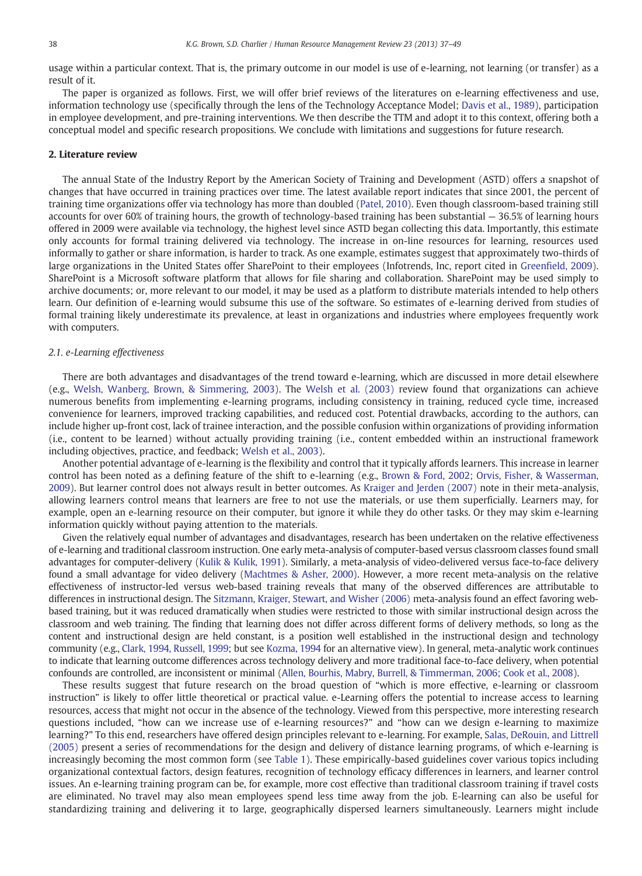usage within a particular context. That is, the primary outcome in our model is use of e-learning, not learning (or transfer) as a result of it.

The paper is organized as follows. First, we will offer brief reviews of the literatures on e-learning effectiveness and use, information technology use (specifically through the lens of the Technology Acceptance Model; [Davis et al., 1989](#page--1-0)), participation in employee development, and pre-training interventions. We then describe the TTM and adopt it to this context, offering both a conceptual model and specific research propositions. We conclude with limitations and suggestions for future research.

#### 2. Literature review

The annual State of the Industry Report by the American Society of Training and Development (ASTD) offers a snapshot of changes that have occurred in training practices over time. The latest available report indicates that since 2001, the percent of training time organizations offer via technology has more than doubled [\(Patel, 2010](#page--1-0)). Even though classroom-based training still accounts for over 60% of training hours, the growth of technology-based training has been substantial — 36.5% of learning hours offered in 2009 were available via technology, the highest level since ASTD began collecting this data. Importantly, this estimate only accounts for formal training delivered via technology. The increase in on-line resources for learning, resources used informally to gather or share information, is harder to track. As one example, estimates suggest that approximately two-thirds of large organizations in the United States offer SharePoint to their employees (Infotrends, Inc, report cited in [Greenfield, 2009](#page--1-0)). SharePoint is a Microsoft software platform that allows for file sharing and collaboration. SharePoint may be used simply to archive documents; or, more relevant to our model, it may be used as a platform to distribute materials intended to help others learn. Our definition of e-learning would subsume this use of the software. So estimates of e-learning derived from studies of formal training likely underestimate its prevalence, at least in organizations and industries where employees frequently work with computers.

### 2.1. e-Learning effectiveness

There are both advantages and disadvantages of the trend toward e-learning, which are discussed in more detail elsewhere (e.g., [Welsh, Wanberg, Brown, & Simmering, 2003\)](#page--1-0). The [Welsh et al. \(2003\)](#page--1-0) review found that organizations can achieve numerous benefits from implementing e-learning programs, including consistency in training, reduced cycle time, increased convenience for learners, improved tracking capabilities, and reduced cost. Potential drawbacks, according to the authors, can include higher up-front cost, lack of trainee interaction, and the possible confusion within organizations of providing information (i.e., content to be learned) without actually providing training (i.e., content embedded within an instructional framework including objectives, practice, and feedback; [Welsh et al., 2003](#page--1-0)).

Another potential advantage of e-learning is the flexibility and control that it typically affords learners. This increase in learner control has been noted as a defining feature of the shift to e-learning (e.g., [Brown & Ford, 2002; Orvis, Fisher, & Wasserman,](#page--1-0) [2009](#page--1-0)). But learner control does not always result in better outcomes. As [Kraiger and Jerden \(2007\)](#page--1-0) note in their meta-analysis, allowing learners control means that learners are free to not use the materials, or use them superficially. Learners may, for example, open an e-learning resource on their computer, but ignore it while they do other tasks. Or they may skim e-learning information quickly without paying attention to the materials.

Given the relatively equal number of advantages and disadvantages, research has been undertaken on the relative effectiveness of e-learning and traditional classroom instruction. One early meta-analysis of computer-based versus classroom classes found small advantages for computer-delivery ([Kulik & Kulik, 1991\)](#page--1-0). Similarly, a meta-analysis of video-delivered versus face-to-face delivery found a small advantage for video delivery [\(Machtmes & Asher, 2000](#page--1-0)). However, a more recent meta-analysis on the relative effectiveness of instructor-led versus web-based training reveals that many of the observed differences are attributable to differences in instructional design. The [Sitzmann, Kraiger, Stewart, and Wisher \(2006\)](#page--1-0) meta-analysis found an effect favoring webbased training, but it was reduced dramatically when studies were restricted to those with similar instructional design across the classroom and web training. The finding that learning does not differ across different forms of delivery methods, so long as the content and instructional design are held constant, is a position well established in the instructional design and technology community (e.g., [Clark, 1994, Russell, 1999;](#page--1-0) but see [Kozma, 1994](#page--1-0) for an alternative view). In general, meta-analytic work continues to indicate that learning outcome differences across technology delivery and more traditional face-to-face delivery, when potential confounds are controlled, are inconsistent or minimal [\(Allen, Bourhis, Mabry, Burrell, & Timmerman, 2006; Cook et al., 2008\)](#page--1-0).

These results suggest that future research on the broad question of "which is more effective, e-learning or classroom instruction" is likely to offer little theoretical or practical value. e-Learning offers the potential to increase access to learning resources, access that might not occur in the absence of the technology. Viewed from this perspective, more interesting research questions included, "how can we increase use of e-learning resources?" and "how can we design e-learning to maximize learning?" To this end, researchers have offered design principles relevant to e-learning. For example, [Salas, DeRouin, and Littrell](#page--1-0) [\(2005\)](#page--1-0) present a series of recommendations for the design and delivery of distance learning programs, of which e-learning is increasingly becoming the most common form (see [Table 1](#page--1-0)). These empirically-based guidelines cover various topics including organizational contextual factors, design features, recognition of technology efficacy differences in learners, and learner control issues. An e-learning training program can be, for example, more cost effective than traditional classroom training if travel costs are eliminated. No travel may also mean employees spend less time away from the job. E-learning can also be useful for standardizing training and delivering it to large, geographically dispersed learners simultaneously. Learners might include